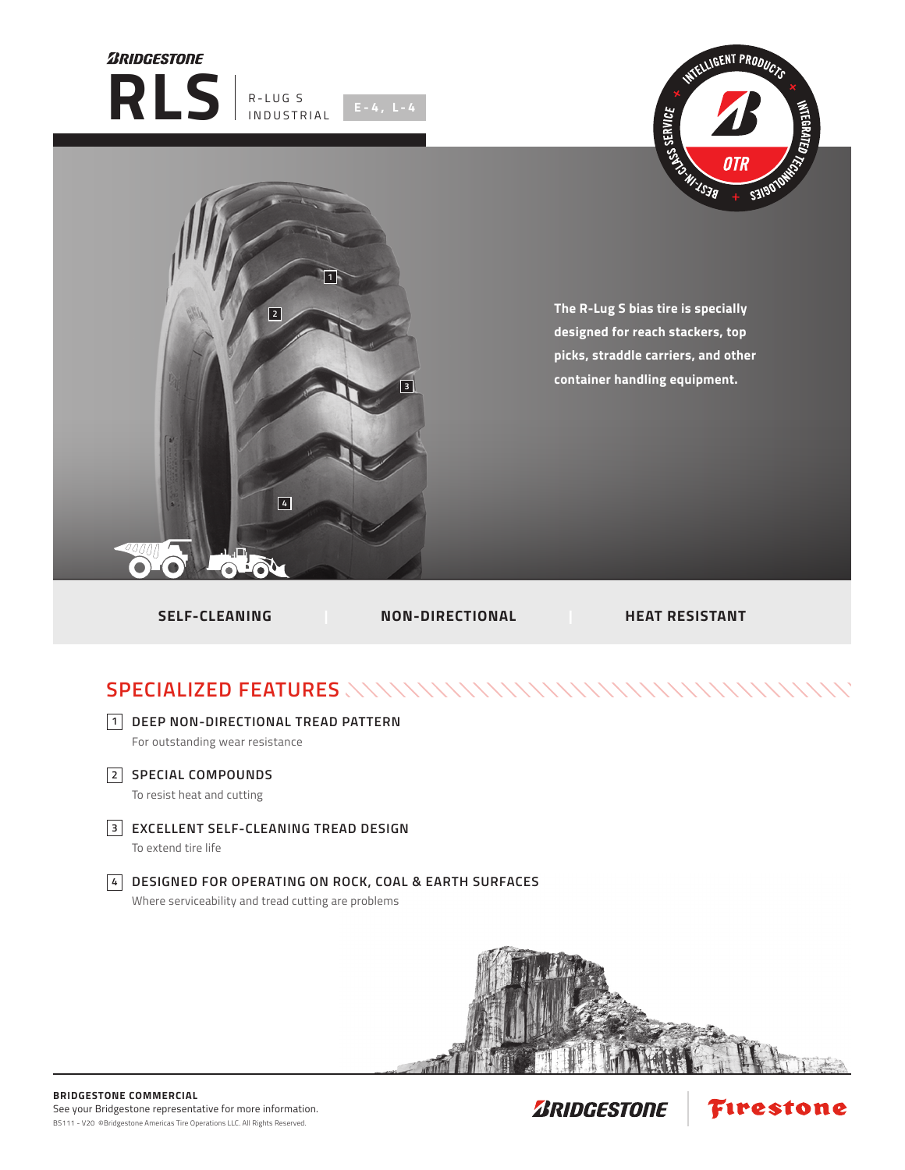





**The R-Lug S bias tire is specially designed for reach stackers, top picks, straddle carriers, and other container handling equipment.**

**SELF-CLEANING | NON-DIRECTIONAL | HEAT RESISTANT** 

## **SPECIALIZED FEATURES**



**DEEP NON-DIRECTIONAL TREAD PATTERN 1**

For outstanding wear resistance

**SPECIAL COMPOUNDS 2**

To resist heat and cutting

**EXCELLENT SELF-CLEANING TREAD DESIGN 3**

To extend tire life

## **DESIGNED FOR OPERATING ON ROCK, COAL & EARTH SURFACES 4**

Where serviceability and tread cutting are problems



Firestone

**ZRIDGESTONE**